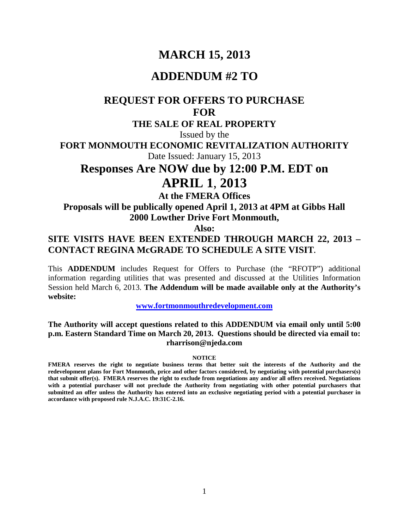# **MARCH 15, 2013**

## **ADDENDUM #2 TO**

# **REQUEST FOR OFFERS TO PURCHASE FOR**

## **THE SALE OF REAL PROPERTY**

Issued by the

**FORT MONMOUTH ECONOMIC REVITALIZATION AUTHORITY**

Date Issued: January 15, 2013

# **Responses Are NOW due by 12:00 P.M. EDT on APRIL 1**, **2013**

**At the FMERA Offices**

**Proposals will be publically opened April 1, 2013 at 4PM at Gibbs Hall 2000 Lowther Drive Fort Monmouth,** 

**Also:**

## **SITE VISITS HAVE BEEN EXTENDED THROUGH MARCH 22, 2013 – CONTACT REGINA McGRADE TO SCHEDULE A SITE VISIT.**

This **ADDENDUM** includes Request for Offers to Purchase (the "RFOTP") additional information regarding utilities that was presented and discussed at the Utilities Information Session held March 6, 2013. **The Addendum will be made available only at the Authority's website:**

**[www.fortmonmouthredevelopment.com](http://www.fortmonmouthredevelopment.com/)**

#### **The Authority will accept questions related to this ADDENDUM via email only until 5:00 p.m. Eastern Standard Time on March 20, 2013. Questions should be directed via email to: rharrison@njeda.com**

#### **NOTICE**

**FMERA reserves the right to negotiate business terms that better suit the interests of the Authority and the redevelopment plans for Fort Monmouth, price and other factors considered, by negotiating with potential purchasers(s) that submit offer(s). FMERA reserves the right to exclude from negotiations any and/or all offers received. Negotiations with a potential purchaser will not preclude the Authority from negotiating with other potential purchasers that submitted an offer unless the Authority has entered into an exclusive negotiating period with a potential purchaser in accordance with proposed rule N.J.A.C. 19:31C-2.16.**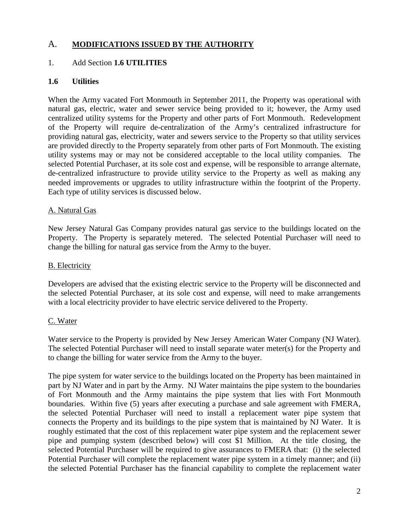## A. **MODIFICATIONS ISSUED BY THE AUTHORITY**

## 1. Add Section **1.6 UTILITIES**

## **1.6 Utilities**

When the Army vacated Fort Monmouth in September 2011, the Property was operational with natural gas, electric, water and sewer service being provided to it; however, the Army used centralized utility systems for the Property and other parts of Fort Monmouth. Redevelopment of the Property will require de-centralization of the Army's centralized infrastructure for providing natural gas, electricity, water and sewers service to the Property so that utility services are provided directly to the Property separately from other parts of Fort Monmouth. The existing utility systems may or may not be considered acceptable to the local utility companies. The selected Potential Purchaser, at its sole cost and expense, will be responsible to arrange alternate, de-centralized infrastructure to provide utility service to the Property as well as making any needed improvements or upgrades to utility infrastructure within the footprint of the Property. Each type of utility services is discussed below.

#### A. Natural Gas

New Jersey Natural Gas Company provides natural gas service to the buildings located on the Property. The Property is separately metered. The selected Potential Purchaser will need to change the billing for natural gas service from the Army to the buyer.

#### B. Electricity

Developers are advised that the existing electric service to the Property will be disconnected and the selected Potential Purchaser, at its sole cost and expense, will need to make arrangements with a local electricity provider to have electric service delivered to the Property.

#### C. Water

Water service to the Property is provided by New Jersey American Water Company (NJ Water). The selected Potential Purchaser will need to install separate water meter(s) for the Property and to change the billing for water service from the Army to the buyer.

The pipe system for water service to the buildings located on the Property has been maintained in part by NJ Water and in part by the Army. NJ Water maintains the pipe system to the boundaries of Fort Monmouth and the Army maintains the pipe system that lies with Fort Monmouth boundaries. Within five (5) years after executing a purchase and sale agreement with FMERA, the selected Potential Purchaser will need to install a replacement water pipe system that connects the Property and its buildings to the pipe system that is maintained by NJ Water. It is roughly estimated that the cost of this replacement water pipe system and the replacement sewer pipe and pumping system (described below) will cost \$1 Million. At the title closing, the selected Potential Purchaser will be required to give assurances to FMERA that: (i) the selected Potential Purchaser will complete the replacement water pipe system in a timely manner; and (ii) the selected Potential Purchaser has the financial capability to complete the replacement water